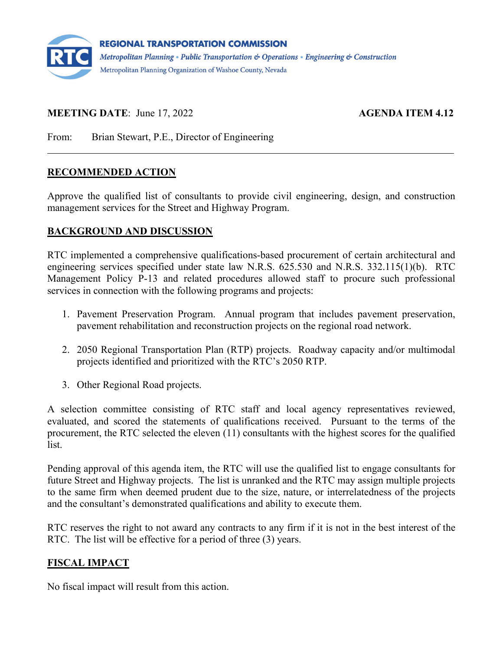

# **MEETING DATE:** June 17, 2022 **AGENDA ITEM 4.12**

From: Brian Stewart, P.E., Director of Engineering

## **RECOMMENDED ACTION**

Approve the qualified list of consultants to provide civil engineering, design, and construction management services for the Street and Highway Program.

### **BACKGROUND AND DISCUSSION**

RTC implemented a comprehensive qualifications-based procurement of certain architectural and engineering services specified under state law N.R.S. 625.530 and N.R.S. 332.115(1)(b). RTC Management Policy P-13 and related procedures allowed staff to procure such professional services in connection with the following programs and projects:

- 1. Pavement Preservation Program. Annual program that includes pavement preservation, pavement rehabilitation and reconstruction projects on the regional road network.
- 2. 2050 Regional Transportation Plan (RTP) projects. Roadway capacity and/or multimodal projects identified and prioritized with the RTC's 2050 RTP.
- 3. Other Regional Road projects.

A selection committee consisting of RTC staff and local agency representatives reviewed, evaluated, and scored the statements of qualifications received. Pursuant to the terms of the procurement, the RTC selected the eleven (11) consultants with the highest scores for the qualified list.

Pending approval of this agenda item, the RTC will use the qualified list to engage consultants for future Street and Highway projects. The list is unranked and the RTC may assign multiple projects to the same firm when deemed prudent due to the size, nature, or interrelatedness of the projects and the consultant's demonstrated qualifications and ability to execute them.

RTC reserves the right to not award any contracts to any firm if it is not in the best interest of the RTC. The list will be effective for a period of three (3) years.

# **FISCAL IMPACT**

No fiscal impact will result from this action.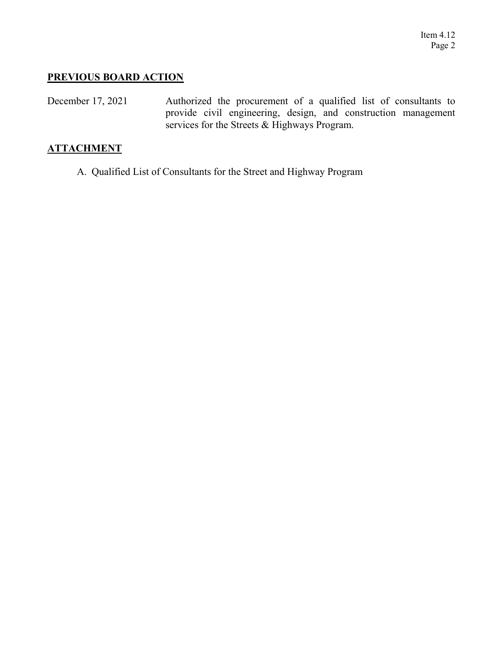### **PREVIOUS BOARD ACTION**

December 17, 2021 Authorized the procurement of a qualified list of consultants to provide civil engineering, design, and construction management services for the Streets & Highways Program.

## **ATTACHMENT**

A. Qualified List of Consultants for the Street and Highway Program